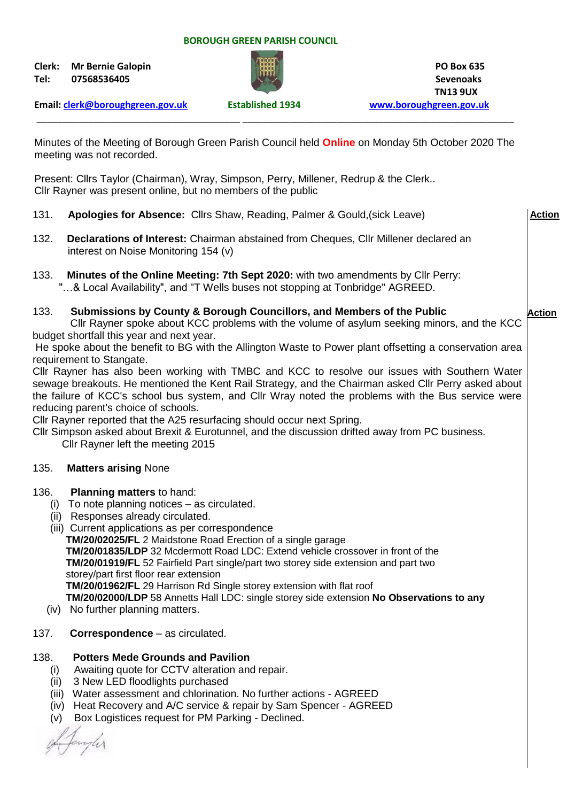#### **BOROUGH GREEN PARISH COUNCIL**

**Clerk: Mr Bernie Galopin PO Box 635 Tel: 07568536405 Sevenoaks**



 **TN13 9UX**

**Action**

**Email: [clerk@boroughgreen.gov.uk](mailto:clerk@boroughgreen.gov.uk) Established 1934 [www.boroughgreen.gov.uk](http://www.boroughgreen.gov.uk/)**

Minutes of the Meeting of Borough Green Parish Council held **Online** on Monday 5th October 2020 The meeting was not recorded.

\_\_\_\_\_\_\_\_\_\_\_\_\_\_\_\_\_\_\_\_\_\_\_\_\_\_\_\_\_\_\_\_\_\_\_\_\_\_\_ \_\_\_\_\_\_\_\_\_\_\_\_\_\_\_\_\_\_\_\_\_\_\_\_\_\_\_\_\_\_\_\_\_\_\_\_\_\_\_\_\_\_\_\_\_\_\_\_\_\_\_\_

Present: Cllrs Taylor (Chairman), Wray, Simpson, Perry, Millener, Redrup & the Clerk.. Cllr Rayner was present online, but no members of the public

- 131. **Apologies for Absence:** Cllrs Shaw, Reading, Palmer & Gould,(sick Leave) 132. **Declarations of Interest:** Chairman abstained from Cheques, Cllr Millener declared an interest on Noise Monitoring 154 (v) **Action**
- 133. **Minutes of the Online Meeting: 7th Sept 2020:** with two amendments by Cllr Perry: "…& Local Availability", and "T Wells buses not stopping at Tonbridge" AGREED.

### 133. **Submissions by County & Borough Councillors, and Members of the Public**

 Cllr Rayner spoke about KCC problems with the volume of asylum seeking minors, and the KCC budget shortfall this year and next year.

He spoke about the benefit to BG with the Allington Waste to Power plant offsetting a conservation area requirement to Stangate.

Cllr Rayner has also been working with TMBC and KCC to resolve our issues with Southern Water sewage breakouts. He mentioned the Kent Rail Strategy, and the Chairman asked Cllr Perry asked about the failure of KCC's school bus system, and Cllr Wray noted the problems with the Bus service were reducing parent's choice of schools.

Cllr Rayner reported that the A25 resurfacing should occur next Spring.

Cllr Simpson asked about Brexit & Eurotunnel, and the discussion drifted away from PC business. Cllr Rayner left the meeting 2015

### 135. **Matters arising** None

- 136. **Planning matters** to hand:
	- (i) To note planning notices as circulated.
	- (ii) Responses already circulated.
	- (iii) Current applications as per correspondence  **TM/20/02025/FL** 2 Maidstone Road Erection of a single garage  **TM/20/01835/LDP** 32 Mcdermott Road LDC: Extend vehicle crossover in front of the  **TM/20/01919/FL** 52 Fairfield Part single/part two storey side extension and part two storey/part first floor rear extension  **TM/20/01962/FL** 29 Harrison Rd Single storey extension with flat roof  **TM/20/02000/LDP** 58 Annetts Hall LDC: single storey side extension **No Observations to any**
	- (iv) No further planning matters.

## 137. **Correspondence** – as circulated.

### 138. **Potters Mede Grounds and Pavilion**

- (i) Awaiting quote for CCTV alteration and repair.
- (ii) 3 New LED floodlights purchased
- (iii) Water assessment and chlorination. No further actions AGREED
- (iv) Heat Recovery and A/C service & repair by Sam Spencer AGREED
- (v) Box Logistices request for PM Parking Declined.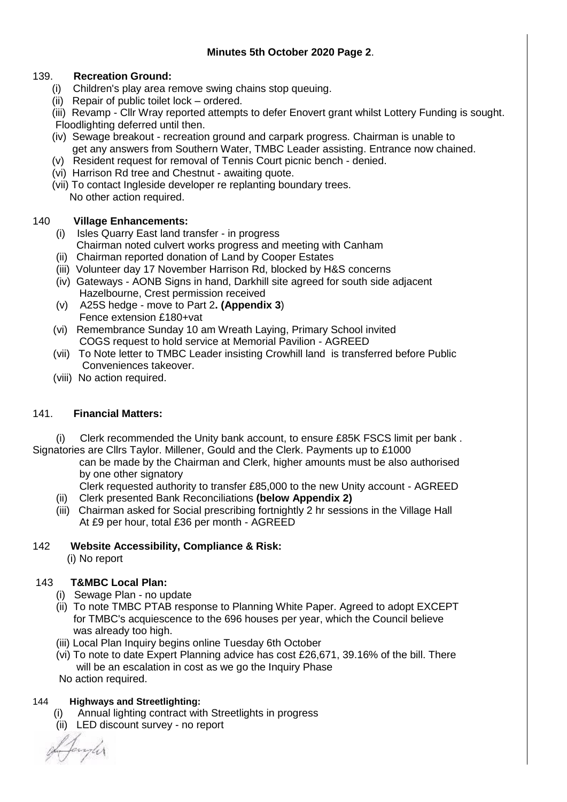## 139. **Recreation Ground:**

- (i) Children's play area remove swing chains stop queuing.
- (ii) Repair of public toilet lock ordered.

 (iii) Revamp - Cllr Wray reported attempts to defer Enovert grant whilst Lottery Funding is sought. Floodlighting deferred until then.

- (iv) Sewage breakout recreation ground and carpark progress. Chairman is unable to get any answers from Southern Water, TMBC Leader assisting. Entrance now chained.
- (v) Resident request for removal of Tennis Court picnic bench denied.
- (vi) Harrison Rd tree and Chestnut awaiting quote.
- (vii) To contact Ingleside developer re replanting boundary trees. No other action required.

### 140 **Village Enhancements:**

- (i) Isles Quarry East land transfer in progress Chairman noted culvert works progress and meeting with Canham
- (ii) Chairman reported donation of Land by Cooper Estates
- (iii) Volunteer day 17 November Harrison Rd, blocked by H&S concerns
- (iv) Gateways AONB Signs in hand, Darkhill site agreed for south side adjacent Hazelbourne, Crest permission received
- (v) A25S hedge move to Part 2**. (Appendix 3**) Fence extension £180+vat
- (vi) Remembrance Sunday 10 am Wreath Laying, Primary School invited COGS request to hold service at Memorial Pavilion - AGREED
- (vii) To Note letter to TMBC Leader insisting Crowhill land is transferred before Public Conveniences takeover.
- (viii) No action required.

## 141. **Financial Matters:**

 (i) Clerk recommended the Unity bank account, to ensure £85K FSCS limit per bank . Signatories are Cllrs Taylor. Millener, Gould and the Clerk. Payments up to £1000

 can be made by the Chairman and Clerk, higher amounts must be also authorised by one other signatory

 Clerk requested authority to transfer £85,000 to the new Unity account - AGREED (ii) Clerk presented Bank Reconciliations **(below Appendix 2)**

 (iii) Chairman asked for Social prescribing fortnightly 2 hr sessions in the Village Hall At £9 per hour, total £36 per month - AGREED

## 142 **Website Accessibility, Compliance & Risk:**

(i) No report

## 143 **T&MBC Local Plan:**

- (i) Sewage Plan no update
- (ii) To note TMBC PTAB response to Planning White Paper. Agreed to adopt EXCEPT for TMBC's acquiescence to the 696 houses per year, which the Council believe was already too high.
- (iii) Local Plan Inquiry begins online Tuesday 6th October
- (vi) To note to date Expert Planning advice has cost £26,671, 39.16% of the bill. There will be an escalation in cost as we go the Inquiry Phase
- No action required.

### 144 **Highways and Streetlighting:**

- (i) Annual lighting contract with Streetlights in progress
- (ii) LED discount survey no report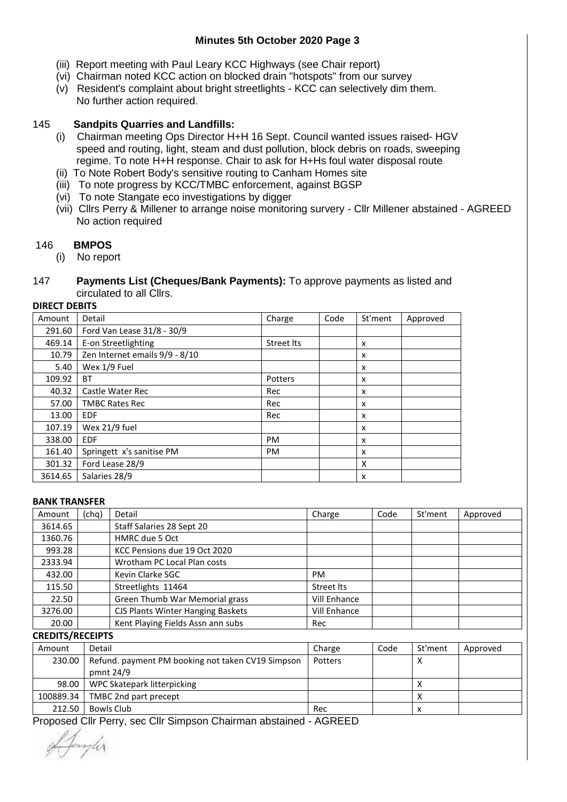## **Minutes 5th October 2020 Page 3**

- (iii) Report meeting with Paul Leary KCC Highways (see Chair report)
- (vi) Chairman noted KCC action on blocked drain "hotspots" from our survey
- (v) Resident's complaint about bright streetlights KCC can selectively dim them. No further action required.

### 145 **Sandpits Quarries and Landfills:**

- (i) Chairman meeting Ops Director H+H 16 Sept. Council wanted issues raised- HGV speed and routing, light, steam and dust pollution, block debris on roads, sweeping regime. To note H+H response. Chair to ask for H+Hs foul water disposal route
- (ii) To Note Robert Body's sensitive routing to Canham Homes site
- (iii) To note progress by KCC/TMBC enforcement, against BGSP
- (vi) To note Stangate eco investigations by digger
- (vii) Cllrs Perry & Millener to arrange noise monitoring survery Cllr Millener abstained AGREED No action required

## 146 **BMPOS**

(i) No report

#### 147 **Payments List (Cheques/Bank Payments):** To approve payments as listed and circulated to all Cllrs.

# **DIRECT DEBITS**

| Amount  | Detail                         | Charge     | Code | St'ment | Approved |
|---------|--------------------------------|------------|------|---------|----------|
| 291.60  | Ford Van Lease 31/8 - 30/9     |            |      |         |          |
| 469.14  | E-on Streetlighting            | Street Its |      | x       |          |
| 10.79   | Zen Internet emails 9/9 - 8/10 |            |      | X       |          |
| 5.40    | Wex 1/9 Fuel                   |            |      | X       |          |
| 109.92  | <b>BT</b>                      | Potters    |      | X       |          |
| 40.32   | Castle Water Rec               | Rec        |      | X       |          |
| 57.00   | <b>TMBC Rates Rec</b>          | Rec        |      | X       |          |
| 13.00   | <b>EDF</b>                     | Rec        |      | X       |          |
| 107.19  | Wex 21/9 fuel                  |            |      | X       |          |
| 338.00  | <b>EDF</b>                     | <b>PM</b>  |      | X       |          |
| 161.40  | Springett x's sanitise PM      | <b>PM</b>  |      | X       |          |
| 301.32  | Ford Lease 28/9                |            |      | X       |          |
| 3614.65 | Salaries 28/9                  |            |      | X       |          |

#### **BANK TRANSFER**

| Amount  | (chq) | Detail                            | Charge              | Code | St'ment | Approved |
|---------|-------|-----------------------------------|---------------------|------|---------|----------|
| 3614.65 |       | Staff Salaries 28 Sept 20         |                     |      |         |          |
| 1360.76 |       | HMRC due 5 Oct                    |                     |      |         |          |
| 993.28  |       | KCC Pensions due 19 Oct 2020      |                     |      |         |          |
| 2333.94 |       | Wrotham PC Local Plan costs       |                     |      |         |          |
| 432.00  |       | Kevin Clarke SGC                  | <b>PM</b>           |      |         |          |
| 115.50  |       | Streetlights 11464                | Street Its          |      |         |          |
| 22.50   |       | Green Thumb War Memorial grass    | <b>Vill Enhance</b> |      |         |          |
| 3276.00 |       | CJS Plants Winter Hanging Baskets | <b>Vill Enhance</b> |      |         |          |
| 20.00   |       | Kent Playing Fields Assn ann subs | Rec                 |      |         |          |

**CREDITS/RECEIPTS**

| Amount    | Detail                                            | Charge  | Code | St'ment | Approved |
|-----------|---------------------------------------------------|---------|------|---------|----------|
| 230.00    | Refund. payment PM booking not taken CV19 Simpson | Potters |      |         |          |
|           | pmnt 24/9                                         |         |      |         |          |
| 98.00     | WPC Skatepark litterpicking                       |         |      |         |          |
| 100889.34 | TMBC 2nd part precept                             |         |      |         |          |
| 212.50    | Bowls Club                                        | Rec     |      | x       |          |

Proposed Cllr Perry, sec Cllr Simpson Chairman abstained - AGREED

Jacylis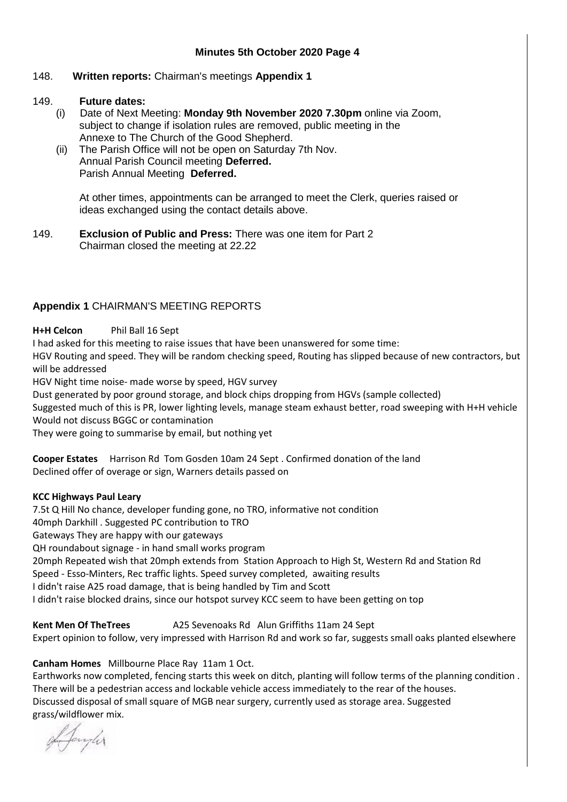### **Minutes 5th October 2020 Page 4**

#### 148. **Written reports:** Chairman's meetings **Appendix 1**

#### 149. **Future dates:**

- (i) Date of Next Meeting: **Monday 9th November 2020 7.30pm** online via Zoom, subject to change if isolation rules are removed, public meeting in the Annexe to The Church of the Good Shepherd.
- (ii) The Parish Office will not be open on Saturday 7th Nov. Annual Parish Council meeting **Deferred.** Parish Annual Meeting **Deferred.**

 At other times, appointments can be arranged to meet the Clerk, queries raised or ideas exchanged using the contact details above.

149. **Exclusion of Public and Press:** There was one item for Part 2 Chairman closed the meeting at 22.22

### **Appendix 1** CHAIRMAN'S MEETING REPORTS

#### **H+H Celcon** Phil Ball 16 Sept

I had asked for this meeting to raise issues that have been unanswered for some time:

HGV Routing and speed. They will be random checking speed, Routing has slipped because of new contractors, but will be addressed

HGV Night time noise- made worse by speed, HGV survey

Dust generated by poor ground storage, and block chips dropping from HGVs (sample collected)

Suggested much of this is PR, lower lighting levels, manage steam exhaust better, road sweeping with H+H vehicle Would not discuss BGGC or contamination

They were going to summarise by email, but nothing yet

**Cooper Estates** Harrison Rd Tom Gosden 10am 24 Sept . Confirmed donation of the land Declined offer of overage or sign, Warners details passed on

#### **KCC Highways Paul Leary**

7.5t Q Hill No chance, developer funding gone, no TRO, informative not condition

40mph Darkhill . Suggested PC contribution to TRO

Gateways They are happy with our gateways

QH roundabout signage - in hand small works program

20mph Repeated wish that 20mph extends from Station Approach to High St, Western Rd and Station Rd

Speed - Esso-Minters, Rec traffic lights. Speed survey completed, awaiting results

I didn't raise A25 road damage, that is being handled by Tim and Scott

I didn't raise blocked drains, since our hotspot survey KCC seem to have been getting on top

**Kent Men Of TheTrees** A25 Sevenoaks Rd Alun Griffiths 11am 24 Sept

Expert opinion to follow, very impressed with Harrison Rd and work so far, suggests small oaks planted elsewhere

### **Canham Homes** Millbourne Place Ray 11am 1 Oct.

Earthworks now completed, fencing starts this week on ditch, planting will follow terms of the planning condition . There will be a pedestrian access and lockable vehicle access immediately to the rear of the houses. Discussed disposal of small square of MGB near surgery, currently used as storage area. Suggested grass/wildflower mix.

of Janyler